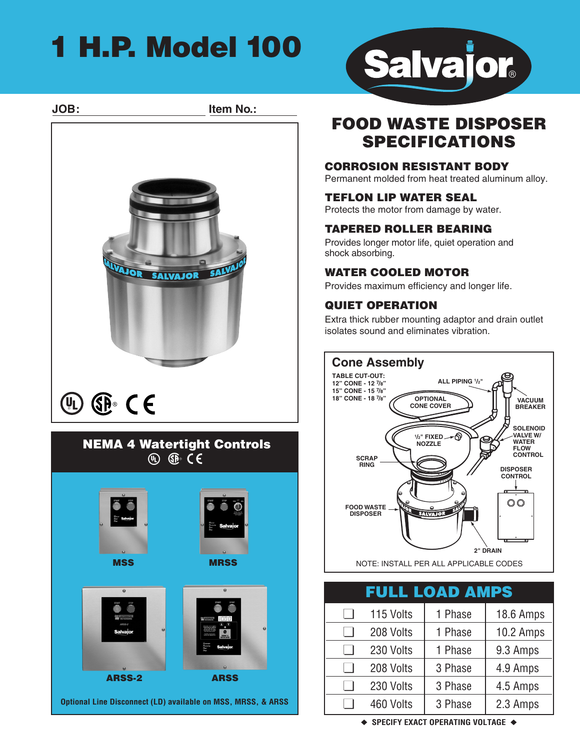## **1 H.P. Model 100**



**ARSS-2 ARSS**

**Optional Line Disconnect (LD) available on MSS, MRSS, & ARSS**



## **FOOD WASTE DISPOSER SPECIFICATIONS**

### **CORROSION RESISTANT BODY**

Permanent molded from heat treated aluminum alloy.

### **TEFLON LIP WATER SEAL**

Protects the motor from damage by water.

### **TAPERED ROLLER BEARING**

Provides longer motor life, quiet operation and shock absorbing.

### **WATER COOLED MOTOR**

Provides maximum efficiency and longer life.

### **QUIET OPERATION**

Extra thick rubber mounting adaptor and drain outlet isolates sound and eliminates vibration.



| <b>FULL LOAD AMPS</b> |           |         |           |  |
|-----------------------|-----------|---------|-----------|--|
|                       | 115 Volts | 1 Phase | 18.6 Amps |  |
|                       | 208 Volts | 1 Phase | 10.2 Amps |  |
|                       | 230 Volts | 1 Phase | 9.3 Amps  |  |
|                       | 208 Volts | 3 Phase | 4.9 Amps  |  |
|                       | 230 Volts | 3 Phase | 4.5 Amps  |  |
|                       | 460 Volts | 3 Phase | 2.3 Amps  |  |

**◆ SPECIFY EXACT OPERATING VOLTAGE ◆**